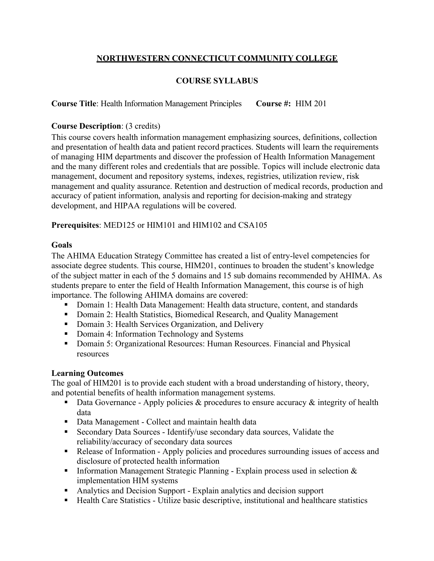## **NORTHWESTERN CONNECTICUT COMMUNITY COLLEGE**

# **COURSE SYLLABUS**

**Course Title**: Health Information Management Principles **Course #:** HIM 201

## **Course Description**: (3 credits)

This course covers health information management emphasizing sources, definitions, collection and presentation of health data and patient record practices. Students will learn the requirements of managing HIM departments and discover the profession of Health Information Management and the many different roles and credentials that are possible. Topics will include electronic data management, document and repository systems, indexes, registries, utilization review, risk management and quality assurance. Retention and destruction of medical records, production and accuracy of patient information, analysis and reporting for decision-making and strategy development, and HIPAA regulations will be covered.

**Prerequisites**: MED125 or HIM101 and HIM102 and CSA105

### **Goals**

The AHIMA Education Strategy Committee has created a list of entry-level competencies for associate degree students. This course, HIM201, continues to broaden the student's knowledge of the subject matter in each of the 5 domains and 15 sub domains recommended by AHIMA. As students prepare to enter the field of Health Information Management, this course is of high importance. The following AHIMA domains are covered:

- Domain 1: Health Data Management: Health data structure, content, and standards
- Domain 2: Health Statistics, Biomedical Research, and Quality Management
- Domain 3: Health Services Organization, and Delivery
- Domain 4: Information Technology and Systems
- Domain 5: Organizational Resources: Human Resources. Financial and Physical resources

### **Learning Outcomes**

The goal of HIM201 is to provide each student with a broad understanding of history, theory, and potential benefits of health information management systems.

- **•** Data Governance Apply policies  $\&$  procedures to ensure accuracy  $\&$  integrity of health data
- Data Management Collect and maintain health data
- Secondary Data Sources Identify/use secondary data sources, Validate the reliability/accuracy of secondary data sources
- Release of Information Apply policies and procedures surrounding issues of access and disclosure of protected health information
- **•** Information Management Strategic Planning Explain process used in selection  $\&$ implementation HIM systems
- Analytics and Decision Support Explain analytics and decision support
- Health Care Statistics Utilize basic descriptive, institutional and healthcare statistics